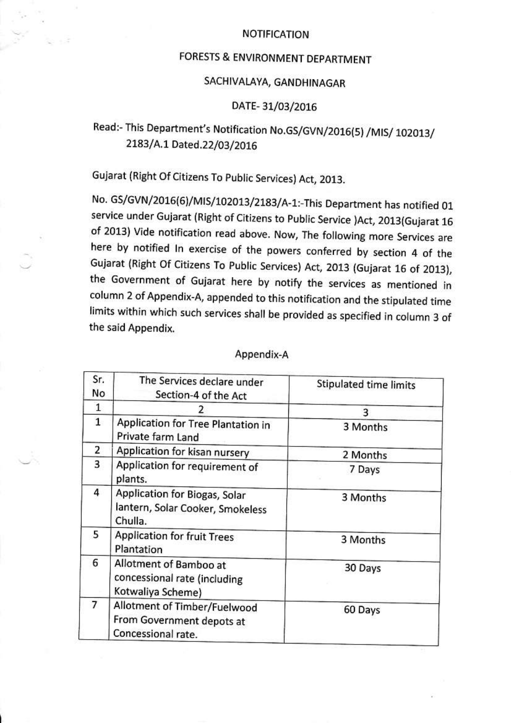### NOTIFICATION

## FORESTS & ENVIRONMENT DEPARTMENT

## SACHIVALAYA, GANDHINAGAR

### DATE- 31/03/2016

# Read:- This Department's Notification No.GS/GVN/2016(5) /MIS/ 102013/ 2183/A.1 Dated.22/03/2016

Gujarat (Right Of Citizens To Public Services) Act, 2013.

No. GS/GVN/2016(6)/MIS/102013/2183/A-1:-This Department has notified 01 service under Gujarat (Right of Citizens to Public Service )Act, 2013(Gujarat 16 of 2013) Vide notification read above. Now, The following more Services are here by notified In exercise of the powers conferred by section 4 of the Gujarat (Right Of Citizens To Public Services) Act, 2013 (Gujarat 16 of 2013), the Government of Gujarat here by notify the services as mentioned in column 2 of Appendix-A, appended to this notification and the stipulated time limits within which such services shall be provided as specified in column 3 of the said Appendix.

| Sr.<br>No      | The Services declare under<br>Section-4 of the Act                              | Stipulated time limits |
|----------------|---------------------------------------------------------------------------------|------------------------|
| 1              |                                                                                 | 3                      |
| $\mathbf{1}$   | Application for Tree Plantation in<br>Private farm Land                         | 3 Months               |
| 2              | Application for kisan nursery                                                   | 2 Months               |
| 3              | Application for requirement of<br>plants.                                       | 7 Days                 |
| 4              | Application for Biogas, Solar<br>lantern, Solar Cooker, Smokeless<br>Chulla.    | 3 Months               |
| 5              | <b>Application for fruit Trees</b><br>Plantation                                | 3 Months               |
| 6              | Allotment of Bamboo at<br>concessional rate (including<br>Kotwaliya Scheme)     | 30 Days                |
| $\overline{7}$ | Allotment of Timber/Fuelwood<br>From Government depots at<br>Concessional rate. | 60 Days                |

#### Appendix-A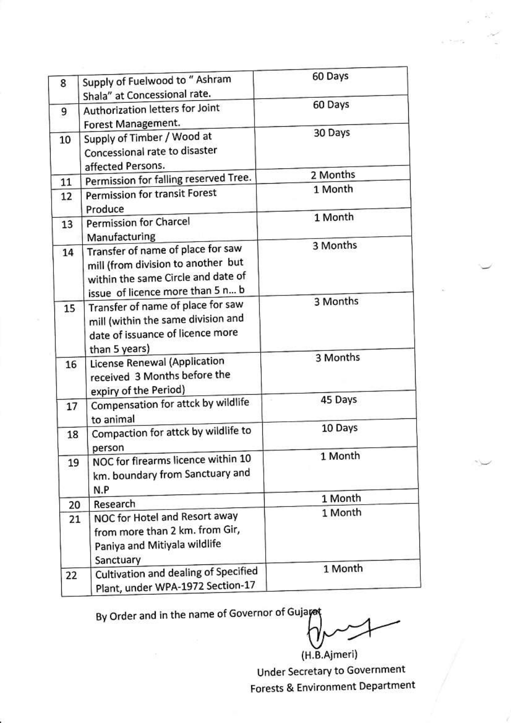|    |                                                                                                                                                   | 60 Days  |
|----|---------------------------------------------------------------------------------------------------------------------------------------------------|----------|
| 8  | Supply of Fuelwood to " Ashram<br>Shala" at Concessional rate.                                                                                    |          |
| 9  | Authorization letters for Joint<br>Forest Management.                                                                                             | 60 Days  |
| 10 | Supply of Timber / Wood at<br>Concessional rate to disaster<br>affected Persons.                                                                  | 30 Days  |
| 11 | Permission for falling reserved Tree.                                                                                                             | 2 Months |
| 12 | Permission for transit Forest<br>Produce                                                                                                          | 1 Month  |
| 13 | Permission for Charcel<br>Manufacturing                                                                                                           | 1 Month  |
| 14 | Transfer of name of place for saw<br>mill (from division to another but<br>within the same Circle and date of<br>issue of licence more than 5 n b | 3 Months |
| 15 | Transfer of name of place for saw<br>mill (within the same division and<br>date of issuance of licence more<br>than 5 years)                      | 3 Months |
| 16 | License Renewal (Application<br>received 3 Months before the<br>expiry of the Period)                                                             | 3 Months |
| 17 | Compensation for attck by wildlife<br>to animal                                                                                                   | 45 Days  |
| 18 | Compaction for attck by wildlife to<br>person                                                                                                     | 10 Days  |
| 19 | NOC for firearms licence within 10<br>km. boundary from Sanctuary and<br>N.P                                                                      | 1 Month  |
| 20 | Research                                                                                                                                          | 1 Month  |
| 21 | NOC for Hotel and Resort away<br>from more than 2 km. from Gir,<br>Paniya and Mitiyala wildlife<br>Sanctuary                                      | 1 Month  |
| 22 | Cultivation and dealing of Specified<br>Plant, under WPA-1972 Section-17                                                                          | 1 Month  |

By Order and in the name of Governor of Gujayat

(H.B.Ajmeri) Under Secretary to Government **Forests & Environment Department**